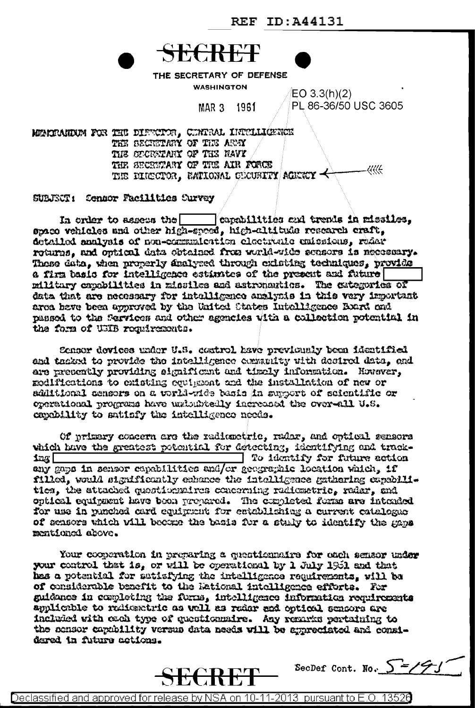

THE SECRETARY OF DEFENSE

**WASHINGTON** 

MAR<sub>3</sub> -1961

 $EO 3.3(h)(2)$ PL 86-36/50 USC 3605

SecDef Cont. No.  $5 =$ 

Ull

MENDANIXM FOR THE DIFFEDE, CINDAL INFELLIGENCE THE SECRETARY OF THE ARRY THE CECRNIANY OF THE NAVY THE SECRETARY OF THE AIR FORCE THE FIRECTOR, EATIONAL GEOFFITY ACENTY

SUBJECT: Schnor Facilities Survey

Teapabilities and trends in missiles. In order to assess the  $\vert$ space vehicles and other high-speed, high-altitude research eraft, detailed analysis of non-examinication electruic enissiens, redar roturns, and optical data obtained from world-wide sensors is necessary. These data, when properly analyzed through cideting techniques, provide a firm basic for intelligence estimates of the present and future military expobilities in missiles and astronomics. The extegeries of data that are necessary for intulligence analysis in this very important area have been approved by the United States Intelligence Board and passed to the Services and other agencies with a callection potential in the form of UEIB requirements.

Sensor devices under U.S. control have previously been identified and tacked to provide the intelligence cummulty with desired data, and are presently providing algulficant and timely information. However, modifications to cuisting equipment and the installation of new or additional sensors on a vorld-wide basis in support of scientific or operational programs have unturbedly increased the over-all U.S. capability to satisfy the intelligence needs.

Of primary concern are the radiometric, radar, and optical sensors which have the greatest potential for detecting, identifying and track-To identify for future action  $\mathbf{1}_{\mathbb{Z}}$ any gaps in sensor capabilities and/or geographic location which, if filled, would significantly enhance the intolligence gathering capabilities, the attached quostionalites concerning radiometric, radar, and optical equipment have been propered. The completed forms are intended for use in panched ourd equiptent for establishing a current catalogue of sensors which will became the basis for a stady to identify the gaps mentioned above.

Your cooperation in preparing a questionnaire for each sensor under your control that is, or will be operational by 1 July 1961 and that has a potential for satisfying the intelligence requirements, will be of considerable benefit to the Mational intelligence efforts. For guidance in completing the furns, intelligence information requirements applicable to raifcantric as well as radar and optical sensors are included with each type of questionnaire. Any remarks pertaining to the sensor capubility versus data needs will be appreciated and considered in future actions.



<u>Declassified and approved for release by NSA on 10-11-2013 pursuant to E.O. 13526</u>